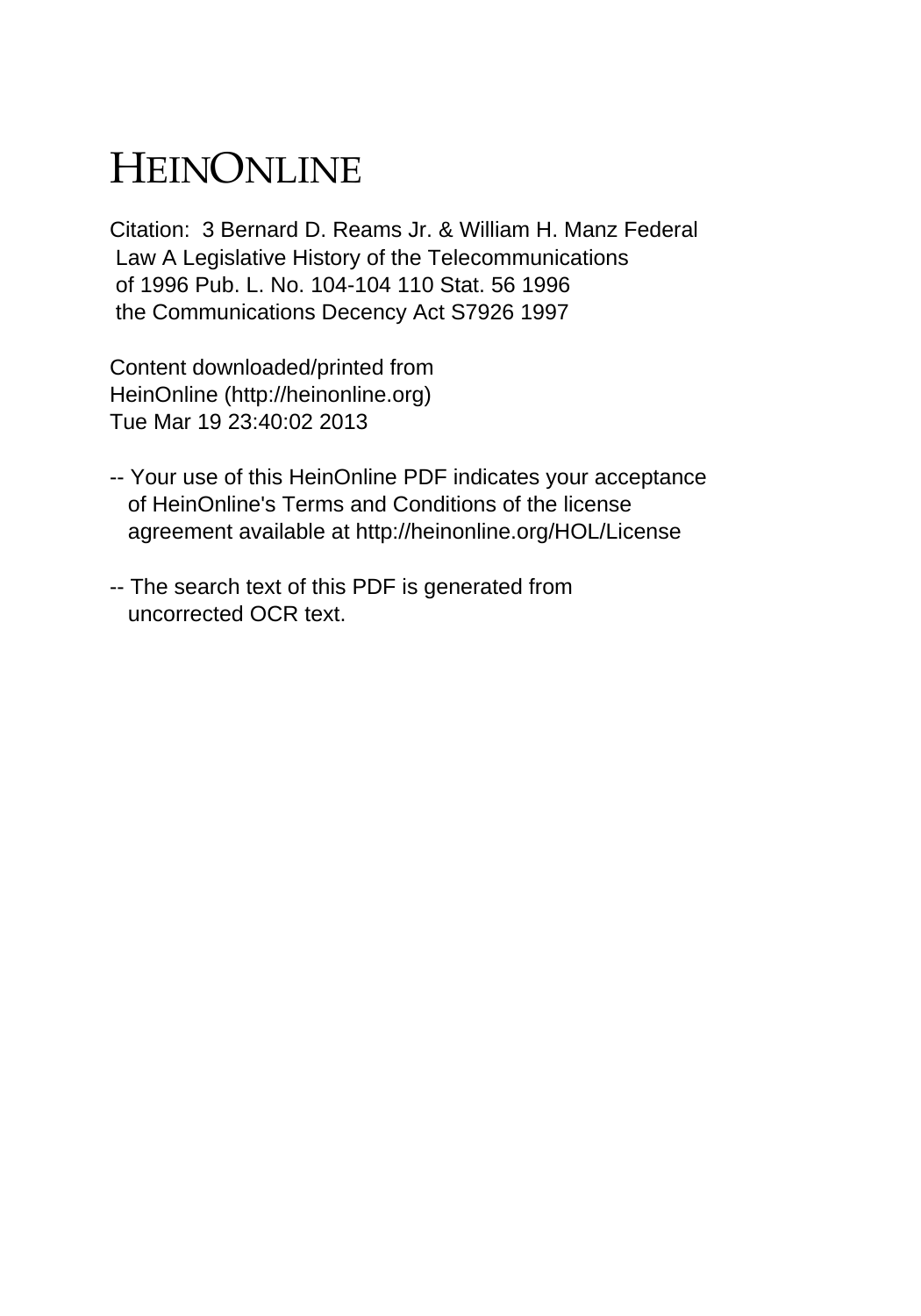# HEINONLINE

Citation: 3 Bernard D. Reams Jr. & William H. Manz Federal Law A Legislative History of the Telecommunications of 1996 Pub. L. No. 104-104 110 Stat. 56 1996 the Communications Decency Act S7926 1997

Content downloaded/printed from HeinOnline (http://heinonline.org) Tue Mar 19 23:40:02 2013

- -- Your use of this HeinOnline PDF indicates your acceptance of HeinOnline's Terms and Conditions of the license agreement available at http://heinonline.org/HOL/License
- -- The search text of this PDF is generated from uncorrected OCR text.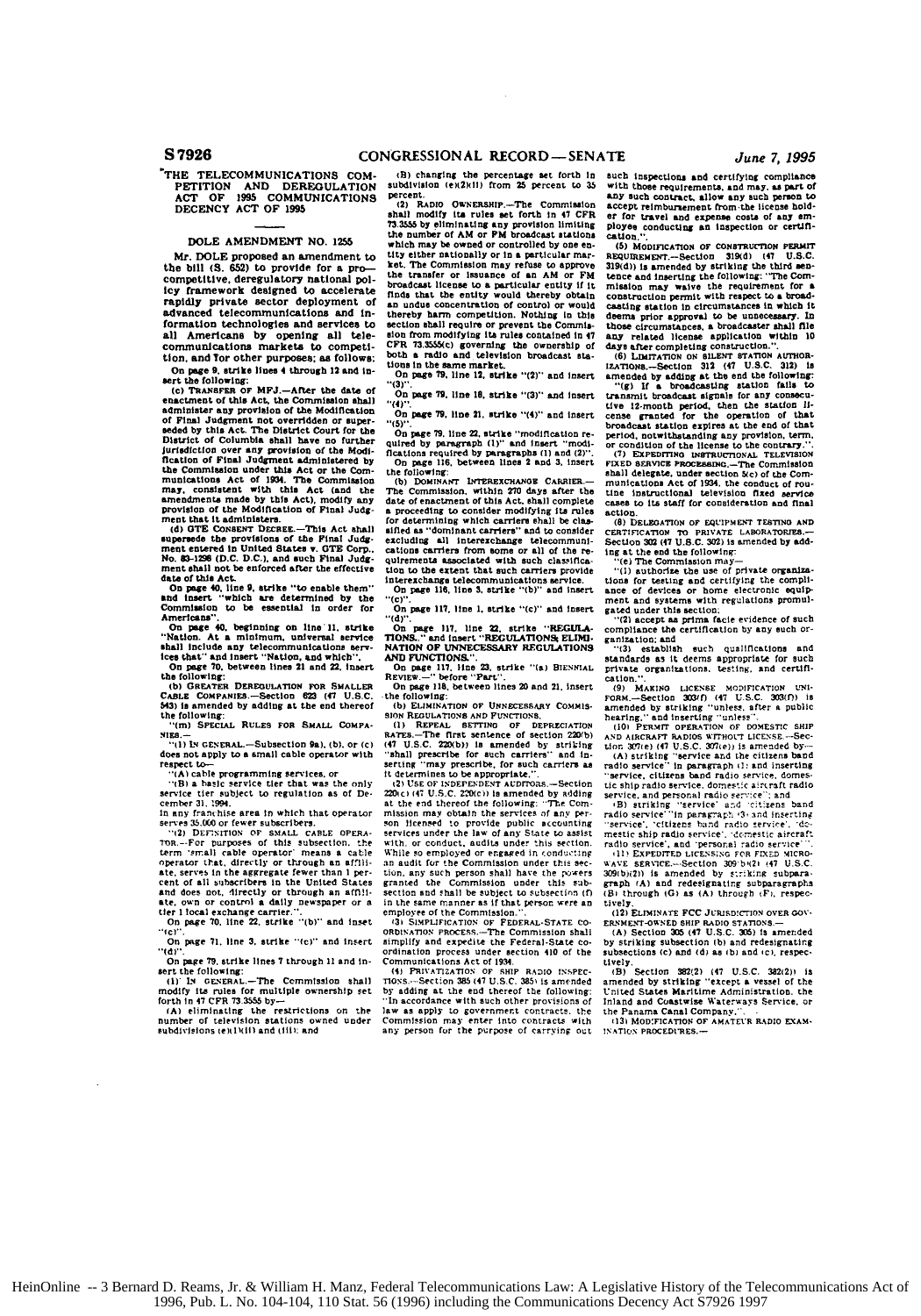## **'THE TELECOMMUNICATIONS COM-PETITION AND DEREGULATION ACT OF I995 COMMUNICATIONS DECENCY ACT** OF **1995**

**DOLE AMENDMENT NO. 1255**<br>Mr. DOLE proposed an amendment to Mr. **DOLE** proposed an amendment to the **bill (S.** 652) to provide for a procompetitive, deregulatory national pol**icy** framework designed to accelerate rapidly private sector deployment of<br>advanced telecommunications and information technologies and services to all Americans **by** opening **all** tele-communications marketa to competition. and **Tor** other purposes; as follows: On **page 9. strike lines 4 through 12 and insert the following:** 

(c) TRANSFRR or MFJ.-IARe: the date of the case of this Act, the Commission shall administer any provision of the Modification of Pinal Judgment not overridden or super-<br>seaded by this Act. The District Court for the Distr

"Con page 40, beginning on line 11, strike "Nation. At a minimum, universal service state"<br>shall include any telecommunications services that" and insert "Nation, and which",<br>On page 70, between lines 21 and 22, insert<br>the

**(ib GREATER** DEREGULATION **FOR** SMALLER **CABLE COMPANIE.--SectiOn** 6M **(4 U.S.C. b43)** is amended **by** adding at the end thereof the following: **EXECUTE THE SECTION OF SHOPS AND SET OF SMALL COMPA-<br>
<b>THE SCHOOL RESPONSELL PROPERTIES**<br> **SHOPS**<br> **HIDES,-**<br> **ALLOWING CENERAL.—Subsection 9a). (b). or (c)** 

**"-ll LN** GENERAL.-Subsection Pal. **(b).** or **(c)** does not **apply** to **a small** cable operator with respect to-. **'(A)** cable programming services. or

**'(B)** a basic service tier that was the only service tier subject **to** regulation **as of De**

cember **31. 1994. in soy** franthise area in which that operator **serves** 35.100 or fewer subscrihers. **"il DEF.NITION OF SIALL CABLE** OPERA-

On page 71, line 3, strike "(c)" and insert "Idi".

On page 79, strike lines 7 through 11 and in-<br>sett the following:<br>(i) He exerged...—The Commission shall<br>modify its rules for multiple ownership set<br>(orth in 47 CFR 73.3555 by-<br>(of the finest cannot commission).

**IA)** eliminating the restrictions on the number **of** television stations owned under subdivisions (ex 11011, **and** 0 it): and

**(1)** changing the percentage set forth In subdivision **(eli2lilll** from **25** percent to *35* percent.<br>(2) RADIO OWNERSHIP --The Commission

**21** RADO **OwNERSHIP.-The** Commission shall modify Its rules set forth In 47 *CFR* **73.35 by** eliminating any provision limiting the number of AM or *FM* broadcast stations which may be owned or controlled by one en-<br>tity either nationally or in a particular mar-<br>ket. The Commission may refuse to approve<br>the transfer or issuance of an AM or FM<br>broadcast license to a particular entity if it<br>fi **an** undue concentration of control or would thereby harm competition. Nothing in this<br>escalion from the Commission from the commission from modifying its rules contained in 47<br>CFR 73.3555(c) governing the ownership of<br>both a radio and television broadcast stations

On **page 79.** line **18.** strike **"(3)" and** Insert

"(4)". On page **79, line 21.** strike **"(4)"** and Insert **"ill".**

On page 79, line 22, strike "modification required by paragraph (1)" and insert "modifications required by paragraphs (1) and (2)". On page 116, between lines 2 and 3, insert

the following **(b) DOMINANT LNTEREXCANGR CARRIE.--** The Commission. within 270 days after the date of enactment of this Act. shall complete a proceeding to consider modifying its rules for determining which carriers shall be classified as "dominant carriers" and to consider<br>excluding all interest hange telecommuni-<br>cations carriers from some or all of the recations carriers from some or all of the re-<br>quirements associated with such classifica-<br>tion to the extent that such carriers provide **Interexchangs** teleconmunicatons service. On **page** 116, line **3.** strike **"(b)" and** Insert **"(c)".**

On page **117.** line **I.** strike "(c)" and Insert

"(d)".<br>On page 117, line 22, strike "**REGULA-**<br>TIONS.." and insert "REGULATIONS<del>,</del> ELIMI-

**NATION OF UNNECESSARY REGULATIONS**<br> **AND FUNCTIONS.**".<br> **On page 117.** line 23, strike "(a) BIENNIAL<br>
REVIEW.--" before "Part".<br>
On page 118, between lines 20 and 21, insert<br>
the following:

(b) ELIMINATION OF UNRECESSARY COMMISSION REQUINATIONS AND FUNCTIONS,<br>(1) REPEAL SETTING OF DEPRECIATION<br>(47 U.S.C. ZZOO) Is amended by striding<br>(47 U.S.C. ZZOO) is amended by striding<br>"shall prescribe for such carriers" a

STORE TO DETAILS OF SALE CHEAP SYSTEM STORE STATES OF THE CONDITIONS OF SALE CABLE OPERA. STORE STATES TO PROPORT TO THE STATES IN THE U.S. THE CHEAP OF THE STATES OF THE CHEAP OF THE CHEAP OF THE STATE AND A RELEASE TO A 220(c) (47 U.S.C. 220(c)) is smended by adding<br>at the end thereof the following: "The Commission may obtain the services of any per-<br>son licensed to provide public scoomlings of the services under the law of any State to a an audit for the Commission under this section, any such person shall have the powers<br>granted the Commission under this sub-<br>section and shall be subject to subsection (f)<br>in the same manner as **If that person were an** 

**employee of the Commission.".**<br> **13F SIMPLIFICATION OF FEDERAL-STATE CO-**<br>ORDINATION PROCESS.--The Commission shall simplify and expedite the Federal-State ordination process under section 410 **of** the

Communications Act **of** 193. **(1)** PRIVATIZATION **OF SHIP RADIO 1isPEC-TIOs.** Section **3a5 (47** U.SC. **3851** is amended **by** adding **at** the end thereof the following: **"In** accordance with such other provisions of law as apply to government contracts, the<br>Commission may enter into contracts with Commission may enter into contracts with any person for the purpose oi carrying ot such Inspections and certifying compliance with these requirements, and may. as part of *&MY* such contrart, **allow any** such person to accept reimbursement from the license **holder** for travel **and expense** costs of **any em- Ployse** conducting **an** inspection or cerUln**cation..**

**(h) MODIFICAT1ON OF CONoTRUCTION PERMIT** REQUIREMENT,--Section 319(d) (47 U.S.C.<br>319(d)) is amended by striking the third sentence and inserting the following: "The Commission may waive the requirement for a<br>construction permit with respect to a broadcasting station in circumstances in which it<br>deems prior approval to be unnecessary. In those circumstances, a broadcaster shall file<br>any related license application within 10<br>days after completing construction."<br>(6) Lharr

amended by adding at the end the following<br>"(g) If a broadcasting station falls to<br>transmit broadcast signals for any consecutive<br>tive 12-month period, then the station II-<br>cense granted for the operation of that<br>broadcast period, notwithstanding any provision, term,<br>or condition of the license to the contrary."

or condition of the license to the contrary.". **(71 EXPEDnTN** IUNS'UCrlONAL **TELEVISION UlED** SERVICE PROC.eSanas.-The Commission shall delegate, under section **5(c)** of the Com-<br>munications Act of 1934, the conduct of rou-<br>tine instructional television fixed *service* cases to Its staff for consideration and **final**

(8) DELEGATION OF EQUIPMENT TESTING AND **(8) DELEGATION** OF **EQUIPMENrT** TESTINO **AND** CERIATAION **'T0** PRIVATE LABORATORIS.- **Section 302** (47 **U.S.C. 302) is** amended **by add-Ing at the end the following:**<br>
"(e) The Commission may-<br>
"(I) authorize the use of private organiza-

tions for testing and certifying the compliance of devices or home electronic equipment and systems with regulations promulgated under this section;<br>"(2) accept as prima facile evidence of such compliance the certificatio

ganization: and

**"131** establish Such qualifications **and** standards as it deems appropriate **for such** private organizations. testing, **and** certification.".

(9) MAKING LICENSE MODIFICATION UNIFORM.—Section **303(f)** (47 U.S.C. 303(f)) is<br>amended by striking "unless, after a public hearing." and inserting "unless".<br>(10) PERMIT OPERATION OF DOMESTIC SHIP

**(10i PERMrr OPrTION OF DOMESTIC SHIP AND AIRCRAFT' RADIOS** WrTHOU-T LICENSE.-Sec-tion **01t.e)** (47 **U.S.C. 207,e) Is amerded by (A)** striking "service ard the citizens **band** radio service" **In** paragraph **it:** and inserting **-service.** citizens band radio service, domes-**tic** ship radio ser-ice, domes'c airtraft radio service. and personal radio se..'ce"' and **,B)** striking "ervice' and c.t'zens band radio ervice **'"In** paroat **'3, and** inserting service'. "cftizens bad radio \_ervree. "do-meStic **ship** radio asrvice'. -estic aircraft **radio** service'. **and** "personal -adio sc':ice" **-. ,10 EXPEDITED LICENSNG FCR FI.XE** MICRO- **WAVE SER** 'ICE.- SectIon **309 b(21** (47 **U.SC,**

**309(b)(2))** is amended by striking subpara-<br>**graph (A)** and redesignating subparagraphs<br>(B) through **(G)** as **(A)** through **(F)**, respectively.

(12) **ELIMINATE FCC** JosD'c-Ds' ONt **OVER** GOV-

ERNMENT-OWNED SHIP RADIO STATIONS.—<br>(A) Section 305 (47 U.S.C. 305) is amended **by** striking subsection **(b)** and redesignating subsections **(c) and id** as **(bi** and ci. respec-

tively.<br>(B) Section 382(2)(47 U.S.C. 382(2)) i<mark>s</mark><br>amended by striking "except **a** vessel of the United States Maritime Administration. the Inland and **Coastwise Waterways Service**. or Inland and **Coastwise Waterways Service**, or the Panama Canal Company

**.131 IODFICATION** OF AMATEUR **RADIO EXAM-INATION PROCEDIMES.**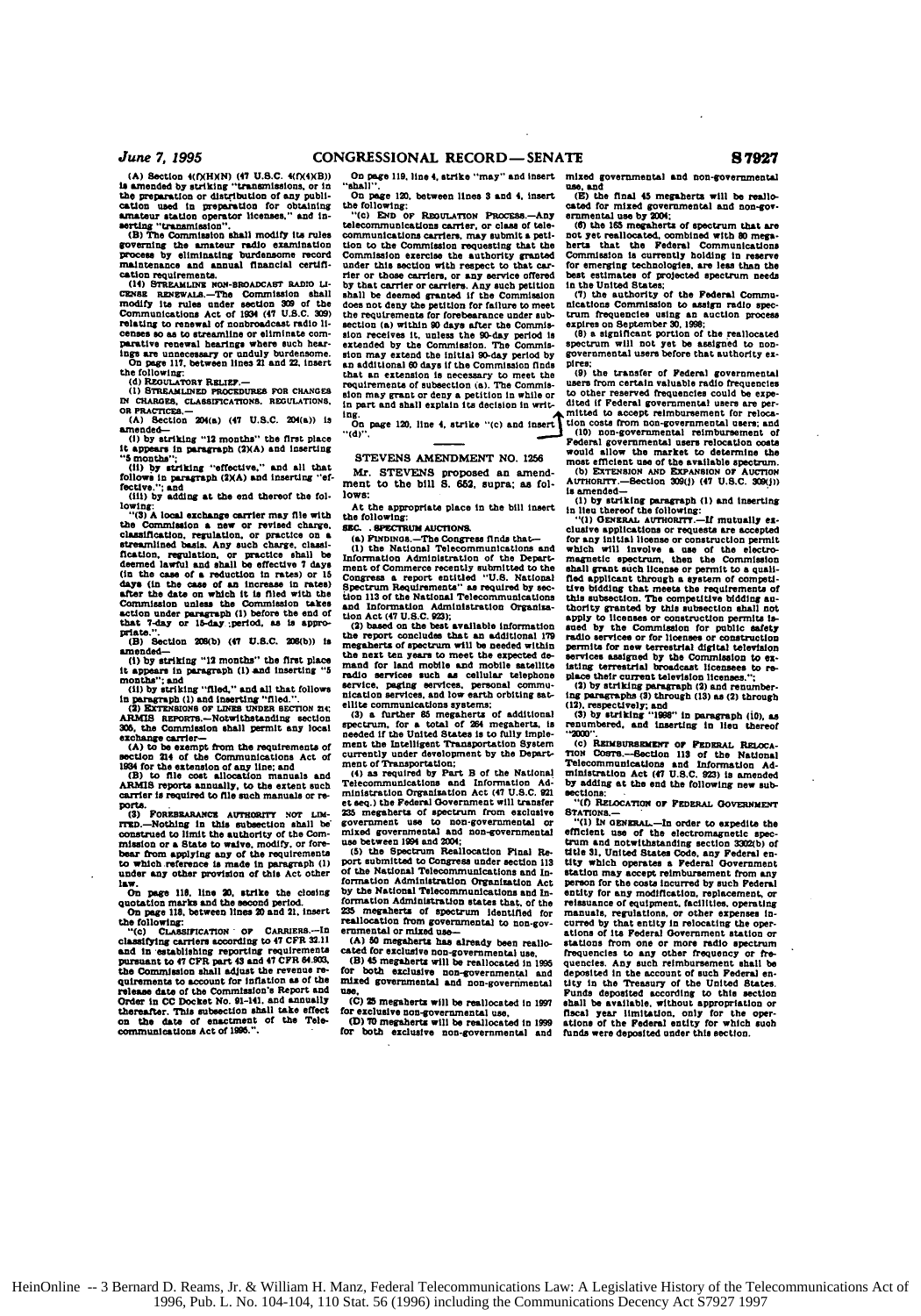$June$  7, 1995

**(A)** Section 4(fXHXN) **(47 U.S.C.** 4(fX4XB)) is amended by striking "transmissions, or in<br>the preparation or distribution of any publi-<br>cation used in preparation for obtaining<br>amateur station operator licenses," and in-<br>serting "transmission".<br>(B) The Commission sha

governing the amateur radio examination Process **by** eliminating burdensome record maintenance **and** annual financial certfi-

cation requirements.<br>(14) STRAMLINZ NON-BROADCAST RADIO LI-<br>
TRASE RENEWALS.-The Commission shall<br>modify its rules under section 309 of the<br>
Communications Act of 1934 (47 U.S.C. 309) relating to **renewal** of nonbroadeast radio **li-**censes **so as** to streamline or eliminate comparative renewal hearings **where** such **hear**ings **are** unnecessary or unduly burdeneome. On **page 117.** between lines **21** and **22.** insert

the following:<br>**(d) RECULATORY RELIEF.--<br>(I) STREAMLINED PROCEDURES FOR CHANGES<br>IN CHARGES, CLASSIFICATIONS. REGULATIONS, OR PRACTICES** 

**(A)** Section 204(a) (47 **U.S.C.** 204(a)) **is**

amended-<br>(1) by striking "12 months" the first place<br>it appears in paragraph **(2)A)** and inserting<br>"5 months";

**(ii) by** striking "effective., and **all** that **follows** in paragraph (M1A) **and** inserting **"ef-**

fective.": and (fit) **by** adding at the end thereof the **fol- lowing:**

the Commission **a** new or revised charge. classification, regulation, or practice on a<br>streamlined basis. Any such charge, classification, regulation, or practice shall be<br>deemed lawful and shall be offective 7 days (in the case of a reduction in rates) or 15<br>day Commission unless the Commission takes<br>action under paracraph (1) before the end of action under **prgph (1)** before the end of that **7-day or** 10-day iperod. **as is appro- priates.".**

**(B)** Section **208(b) (47 U.S.C. 209(b)) Is**

amended- **(I) by** striking "12 months" the first **place** it **appears** In paragraph **(1) and** Inserting **"5**

months"; and<br>
(ii) by striking "filed." and all that follows<br>
in paragraph (i) and inserting "filed.".<br> **(2) EXTENSIONS OF LINES UNDER SECTION 214** 

ARMIS agrows.-Notwithstanding section<br>305, the Commission shall permit any local **306.** the Comnnssion shall permit any local exchange carrier- **(A)** to be exempt from the requirements of section 214 of the Communications Act **of**

1934 for the extension of any line; and<br>
(B) to file cost allocation manuals and<br>
ARMIS reports annually, to the extent such<br>
carrier is required to file such manuals or re-

**ports.. (3)** FORKnSHRAisCE AWlrriil **NOT tiN-** rnb.-Nothing In this subsection shall **be** construed to limit the authority of the Commission or a State to waive, modify, or fore-<br>bear from applying any of the requirements<br>bear from applying any of the requirements<br>to which reference is made in paragraph (1)<br>und

haw.<br>Compage 118, line 20, strike the closing<br>quotation marks and the second period.<br>On page 113, between lines 20 and 21, insert<br>the following:<br>"(c) CLASSIFICATION OF CARRIERS.--In

classifying carriers according to 47 CFR 32.11<br>and in establishing reporting requirements<br>pursuant to 47 CFR part 43 and 47 CFR 64.903,<br>the Commission shall adjust the revenue requirements to account for inflation as of the<br>release date of the Commission's Report and<br>Order in CC Docket No. 91-141, and annually<br>thereafter. This subsection shall take effect on the date of enactment **of** the **Tel.** communications Act **of** IM.".

On **page 119. line 4, strike "may" and insert** mixed governmental and non-government "shall".

cated for mixed governmental and non-governmental and non-governmental and non-governmental and non-governmental submit carriers. The communications carrier, or class of tele- (6) the 165 megahherts of spectrum that are co tion to the Commission requesting that the hers that the Federal Communications **Commisslon** exercise the authority granted Commission **is** currently holding in reserve by that carrier or carriers. **Any such** petition in **the** United States; shall be deemed granted **if** the Commlsaion *(i)* the authority **of** the Federal **Commu. does** not deny the petition for **failure** to meet nicatlons Commission to assign radio **spec**the requirements for forebearance under sub- **trurn** frequencies using an auction process section **(a)** within **90 days** after the Commie- **expires** on September **30. 1998; Son** receives it, unless the **90-day** period **Is (8)** a significant portion of the reallocated extended by the Commission. The Commis- spectrum will not yet be assigned to nonsion may extend the initial 90-day period by governmental users before that authority ex-<br>an additional 60 days if the Commission finds Dires;<br>that an extension is necessary to meet the (9) the transfer of Pederal governme an additional 50 days if the Commission finds Pires;<br>that an extension is necessary to meet the (9) the transfer of Pederal governmental<br>requirements of subsection (a). The Commis- users from certain valuable radio frequen sion may grant or deny a petition in while or to other reserved frequencies could be expering are perming.<br>In part and shall explain its decision in writ. Alted if Federal governmental users are perming.<br>Ing. On page 120,

(1) the National Telecommunications and which will involve a use of the electro-<br>Information Administration of the Depart-<br>ment of Commerce recently submitted to the shall grant such license or permit to a quali-<br>ment of C

the next ton pears to meet the expected de-<br>services assigned by the Commission to exhaust the pears to meet the expected de-<br>services assigned by the Commission to exhaust the main of the distribution<br>radio services and m

(3) a further 85 megaherts of additional (3) by striking "1998" in paragraph (10), as spectrum, for a total of 254 megaherts, is renumbered, and inserting in lieu thereof needed if the United States is to fully imple- "20

et seq.) the Federal Government will transfer **"MI RELOCATION OF FEDERAL GOVERNMENT**<br>235 megaherts of spectrum from exclusive STATIONS.-

On page 120, between lines 3 and 4, insert (E) the final 45 megaherts will be reallo-<br>the following: care for mixed for mixed grownmental and non-gov-<br>"(c) END or REGULATION PROCESS.—Any ernmental use by 2001;<br>telecommunic

under the unit respected spectrum needs<br>in the United States;<br>if the rederal Communications commission to assign radio spec-<br>net commission to assign radio spec-

(d)".<br>Color network of the procedure of the procedure of the procedure of the procedure of the procedure of the procedure of the STEVENS AMENDMENT NO. 1256<br>Mr. STEVENS proposed an amend- (b) Extra solution and of the avail

ment to the bill S. 652, supra; as fol-<br>lows:<br>lows:<br>lows:<br>lows:<br>tia direction of the bill intertion of the superprise place in the bill insert<br>in [iii] by striking paragraph (1) and inserting<br>the following:<br>the following:

SM **.** eEMUl *AUCfiONS.* elusive applications or requests **are** accepted **(a) FINDmOB.-The** Congress **finds** that- for any Initial license or construction permit tion Act (47 U.S.C. 923);<br>
apply to licenses or construction permits is-<br>
(2) based on the best available information aged by the Commission for public safety<br>
the report concludes that an additional 179 radio services or

nication services, and low earth orbiting sat- lng paragraphs **(3)** through **(13) as (2)** through ellite communications systems; **(12).** respectively; **end**

needed if the United States is to fully imple-<br>ment the Intelligent Transportation System (c) REIMBUREEMENT OF FEDERAL RELOCA-<br>currently under development by the Depart- TroN Costre.-Section 113 of the National<br>ment of Tra (4) as required by Part B of the National ministration Act (47 U.S.C. 923) is amended<br>Telecommunications and Information Ad- by adding at the end the following new sub-<br>ministration Organization Act (47 U.S.C. 921 sections

governmental use to non-governmental or "(1) IN OGNSRAL-In order to expedite the mixed governmental and non-governmental of flichet use of the electromagnetic species between 1994 and 2004;<br>use between 1994 and 2004;<br>the s use between 1994 **and 204;** trum and notwithstanding section **330b)** of **(5)** the Spectrum Reallocation **Final** Re. title **31.** United States **Code,** any Federal enport submitted to Congress under section 113 titly which operates a Pederal Government<br>of the National Telecommunications and in- station may accept reinfoursement from any<br>formation Administration Organization Act person by the National Telecommunications and In-<br>formation Administration replacement, or<br>formation Administration states that, of the relaxions of equipment, facilities, operating<br>235 megaherts of spectrum identified for manual reallocation from governmental to non-gov- curred by that entity in relocating the oper-<br>ernmental do non-gov- curred by that entity in relocating the oper-<br>ations of its Federal Government atations of the relocating the s cated for exclusive non-governmental use. Frequencies to any other frequency or frequencies to any other frequency or frequencies to any other frequency or frequencies to any other frequency or frequencies to any such rein C.) 25 megaherts will be reallocated in 1997 shall be available, without appropriation of<br>or exclusive non-governmental use,<br>filest year limitation, only for the oper-<br>for both exclusive non-governmental and funds were dep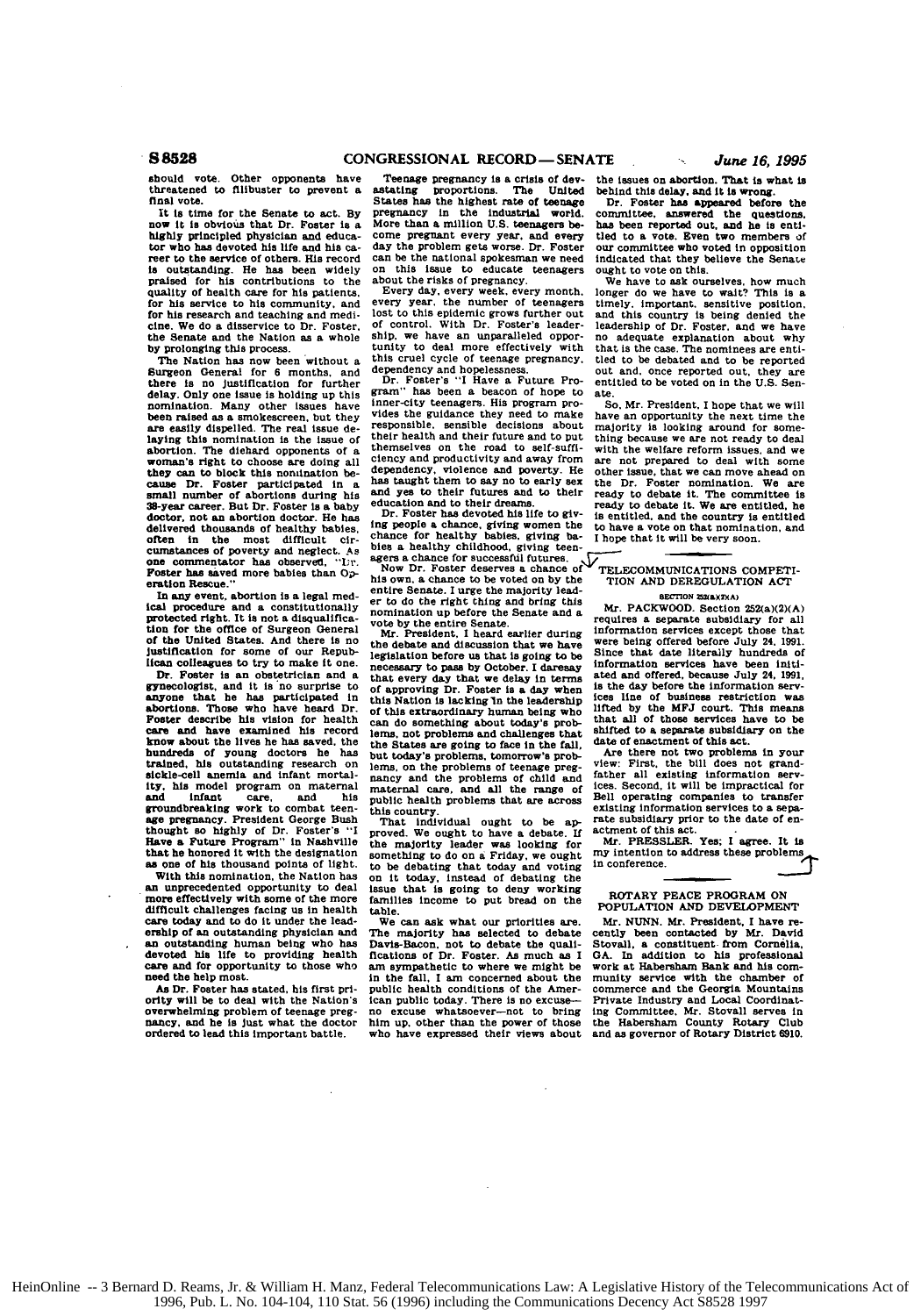should vote. Other opponents have threatened **to** filibuster to prevent a final vote.

It **is** time for the Senate to act. **By** now it is obvious that Dr. Poster is the Scher is obvious that the service of others. His record is record is outstanding. He has been widely praised for his contributions to the praised for his contributions to the quality of health care for his patients, for his research and teaching and medi-<br>for his research and teaching and medi-<br>cine. We do a disservice to Dr. Foster. the Senate and the Nation as a whole by prolonging this process.<br>The Nation has now been without a

The Nation **has** now been without a Surgeon General for **6** months, and there is no Justification **for** further delay. Only one issue is holding up this nomination. Many other issues have been raised as a smokescreen, but they are easily dispelled. The real issue de-<br>are easily dispelled. The real issue de-<br>laying this nomination is abortion. The diehard **opponents of** <sup>a</sup> woman's right to choose are doing **all** they can to block this nomination be- cause Dr. Foster participated in a small number of abortions during his 38-year career. But Dr. Foster **is** a baby doctor, not an abortion doctor. He has delivered thousands of healthy babies, often in the most difficult ciroften in the most difficult cir- cumnstances of poverty and neglect. **As** one commentator has observed,. **"r.** Foster has saved more babies than Operation Rescue."<br>In any event, abortion is a legal med-

In any event, abortion is a legal med- **Ical** procedure and a constitutionally protected right. It **is** not a disqualification for the office **of** Surgeon General **of** the United States. And there is no Justification for some of our Republican colleagues to try to make it one.

Dr. Foster is an obstetrician and a gynecologist, and it **is** no surprise to anyone that he has participated in abortions. Those who have heard Dr. Foster describe his vision for health<br>Foster describe his vision for health<br>know about the lives he has saved, the<br>know about the lives he has saved, t sickle-cell anemia and infant mortality, his model program on maternal and infant care, and his groundbreaking work to combat teenand infant care, and his<br>groundbreaking work to combat teen-<br>age pregnancy. President George Bush<br>thought so highly of Dr. Foster's "Have a Future Program" in Nashville<br>that he honored it with the designation **as** one **of** his thousand points of light.

With this nomination, the Nation has<br>an unprecedented opportunity to deal more effectively with some of the more<br>difficult challenges facing us in health different care today and to do it under the lead-<br>ership of an outstanding physician and an outstanding human being who has devoted his life to providing health care and for opportunity to those who need the help most.

need the help most.<br>As Dr. Foster has stated, his first pri-<br>ority will be to deal with the Nation's overwhelming problem of teenage preg-<br>nancy, and he is just what the doctor<br>ordered to lead this important battle.

Teenage pregnancy is a crisis of dev- the issues on abortion. That is what is<br>astating proportions. The United behind this delay, and it is wrong.<br>States has the highest rate of teenage Dr. Foster has appeared before the pregnancy in the industrial world, conmittee, answered the questions More than a million **U.S.** teenagers be- has been reported out. and he **is** entl come pregnant every year, and every tied to a vote. Even two members of day the problem gets worse. Dr. Foster our committee who voted in opposition can be the national spokesman we need indicated that they believe the Sen

dependency and hopelessness, out and. once reported out, they are<br>Dr. Foster's "I Have a Future Pro- entitled to be voted on in the U.S. Sen-<br>gram" has been a beacon of hope to ate.<br>inner-city teenagers. His program pro- S inner-city teenagers. His program pro-<br>so, Mr. President, I hope that we wilded the guidance they neek time the<br>responsible, sensible decisions about majority is looking around for some<br>responsible, sensible decisions abo

Chance for successful futures.<br>
Manuscular the properties of the sale and the presenct of successful futures.<br>
Mow Dr. Foster deserves a chance of TELECOMMUNICATIONS COMPETI-<br>
Mow Dr. Foster deserves a chance of TELECOMMUN

the debate and discussion that we have were being offered before July 24, 1991.<br>
the debate and discussion that we have have being offered before July 24, 1991.<br>
legislation before us that is going to be legislation before us that is going to be Since that date literally hundreds of necessary to pass by October. I daresay that every day that we delay in terms of approving Dr. Foster is a day when this Nation is lacking In the leadership of this extraordinary human being who lifted **by** the **MFJ** court. This meani can do something about today's prob- that all of those services have to be<br>lems, not problems and challenges that shifted to a separate subsidiary on the terms, not problems and challenges that<br>the States are going to face in the fall, date of enactment of this act.<br>but today's problems, tomorrow's prob- Are there not two problem our would be problems of the pressure of the bill does not grand-<br>hems, on the problems of child and father all existing information serves<br>maternal care, and all the range of toes. Second, it will be impractical for<br>mater

proved. We ought to have a debate. If actment of this act.<br>the majority leader was looking for Mr. PRESSLER. Yes; I agree. It is<br>something to do on a Friday, we ought my intention to address these problems<br>to be debating t to be debating that today and voting in conference.<br>
on it today, instead of debating<br>
the issue that is going to deny working<br>
ROTARY PEACE PROGRAM ON<br> **FAMILIES income to put bread on the POPULATION AND DEVELOPMENT** 

The majority has selected to debate cently been contacted by Mr. David<br>The majority has selected to debate cently been contacted by Mr. David<br>fications of Dr. Foster. As much as I GA. In addition to his professional<br>am sym

the issues on abortion. That is what is

tled to a vote. Even two members of our committee who voted in opposition

We have to ask ourselves, how much about the risks of pregnancy. We have to ask ourselves, how much every frais is a gerery week, every month, lorely approach every year, the number of teenagers timely, important, sensitiv We have to ask ourselves, how much longer do we have to wait? This is a timely, important, sensitive position, and this country is being denied the leadership of Dr. Foster, and we have **y d** out and, once reported out, they are<br>entitled to be voted on in the U.S. Sen-

shares are not read to self-suffi- with the welfare reform issues<br>themselves on the road to self-suffi- with the welfare reform issues<br>dependency, violence and powerty. He other issue, that we can move<br>to deal with<br>as taug e with the welfare reform issues, and we are not prepared to deal with some other issue, that we can move ahead on We are **e e** is entitled, and the country is entitled to have a vote on that nomination, and

vote by the entire Senate. The entire senate subsidiary for all view of the entire Senate. The entire during information services except those that Mr. President, I heard earlier during information services except those th ated and offered, because July 24, 1991, is the day before the information servthe line of business restriction was lifted by the MFJ court. This means information services except those that shifted to a separate subsidiary on the

> Are there not two problems in your view: First, the bill does not grandexisting information services to a separate subsidiary prior to the date of enactment of this act.<br>actment of this act.<br>Mr. PRESSLER. Yes; I agree. It is father all existing information services. Second, it will be impractical for Bell operating companies to transfer

table. We can ask what our priorities are. Mr. *NUNN.* Mr. President, I have re The majority has selected to debate cently been contacted **by** Mr. David munity service with the chamber of commerce and the Georgia Mountains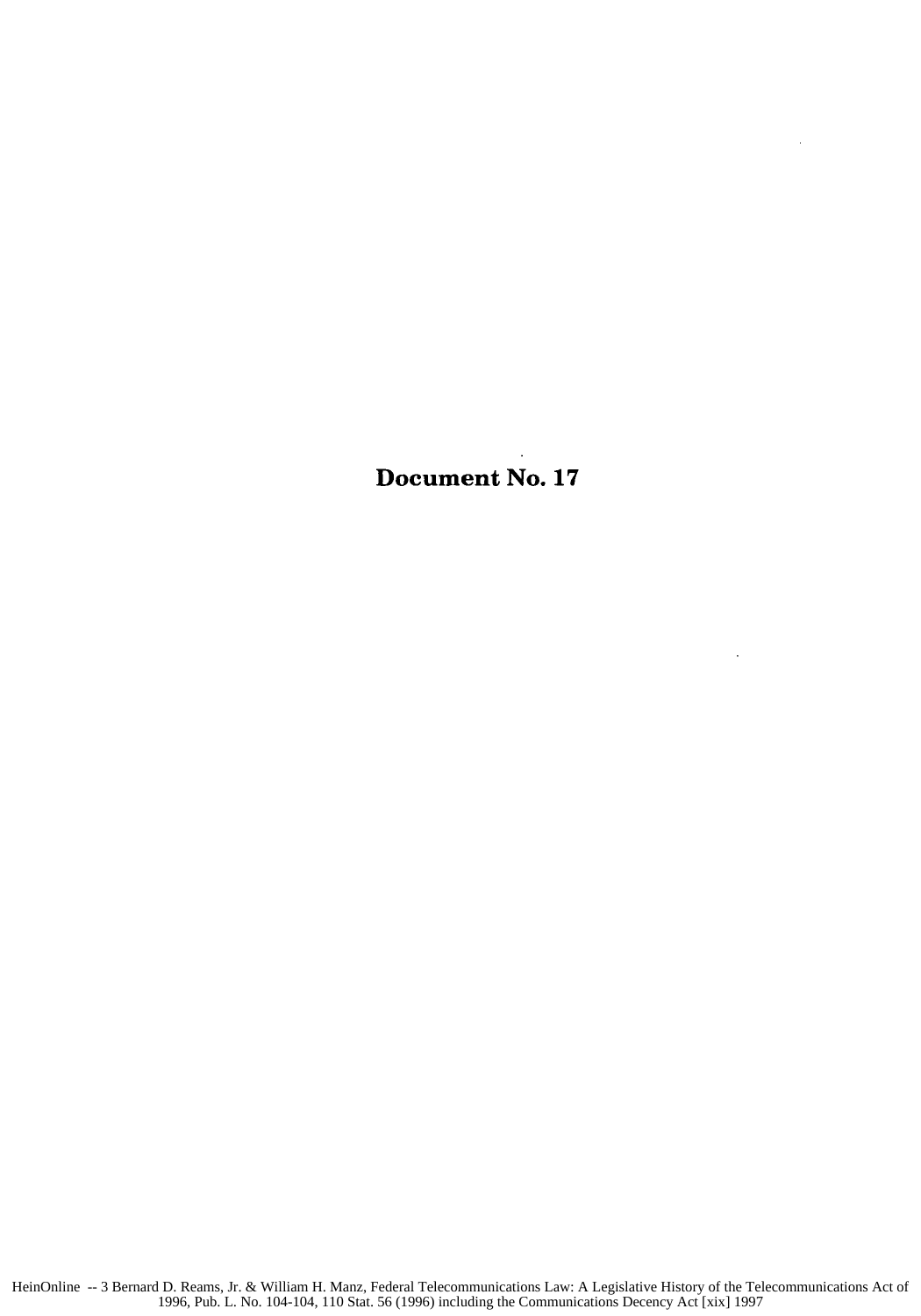Document No. **17**

 $\ddot{\phantom{a}}$